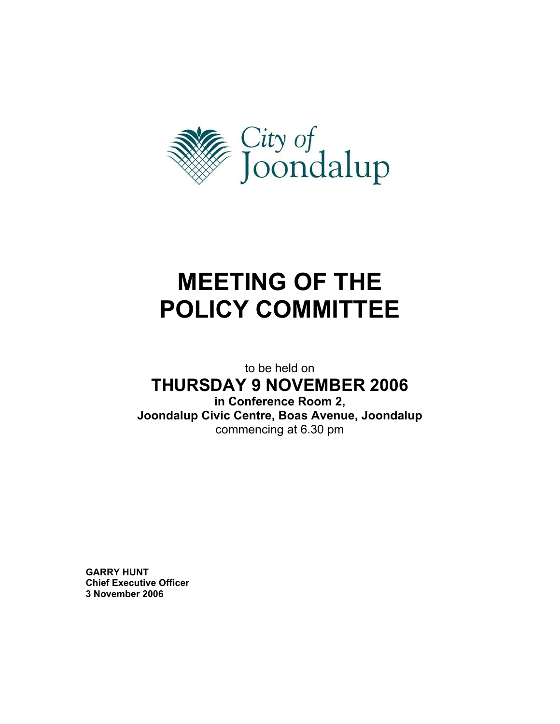

# **MEETING OF THE POLICY COMMITTEE**

to be held on

## **THURSDAY 9 NOVEMBER 2006**

**in Conference Room 2, Joondalup Civic Centre, Boas Avenue, Joondalup**  commencing at 6.30 pm

**GARRY HUNT Chief Executive Officer 3 November 2006**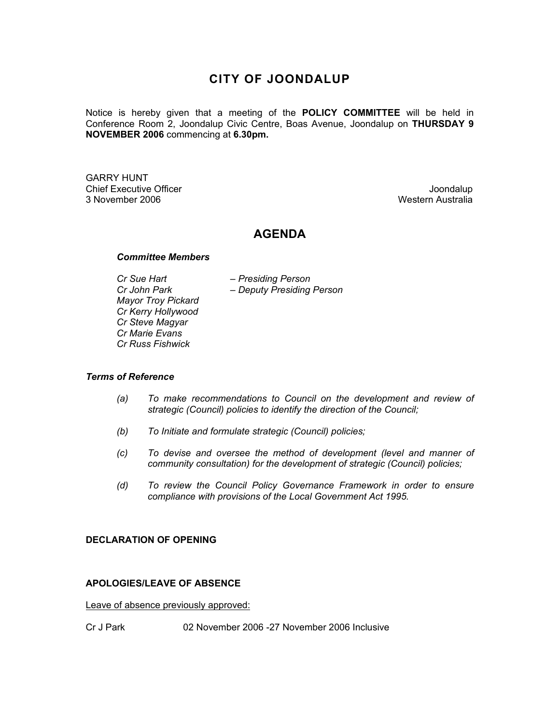## **CITY OF JOONDALUP**

Notice is hereby given that a meeting of the **POLICY COMMITTEE** will be held in Conference Room 2, Joondalup Civic Centre, Boas Avenue, Joondalup on **THURSDAY 9 NOVEMBER 2006** commencing at **6.30pm.** 

GARRY HUNT Chief Executive Officer  $\Box$  Joondalup 3 November 2006 Western Australia

#### **AGENDA**

#### *Committee Members*

 *Cr Sue Hart – Presiding Person Mayor Troy Pickard Cr Kerry Hollywood Cr Steve Magyar Cr Marie Evans Cr Russ Fishwick* 

 *Cr John Park – Deputy Presiding Person* 

#### *Terms of Reference*

- *(a) To make recommendations to Council on the development and review of strategic (Council) policies to identify the direction of the Council;*
- *(b) To Initiate and formulate strategic (Council) policies;*
- *(c) To devise and oversee the method of development (level and manner of community consultation) for the development of strategic (Council) policies;*
- *(d) To review the Council Policy Governance Framework in order to ensure compliance with provisions of the Local Government Act 1995.*

#### **DECLARATION OF OPENING**

#### **APOLOGIES/LEAVE OF ABSENCE**

Leave of absence previously approved:

Cr J Park 02 November 2006 -27 November 2006 Inclusive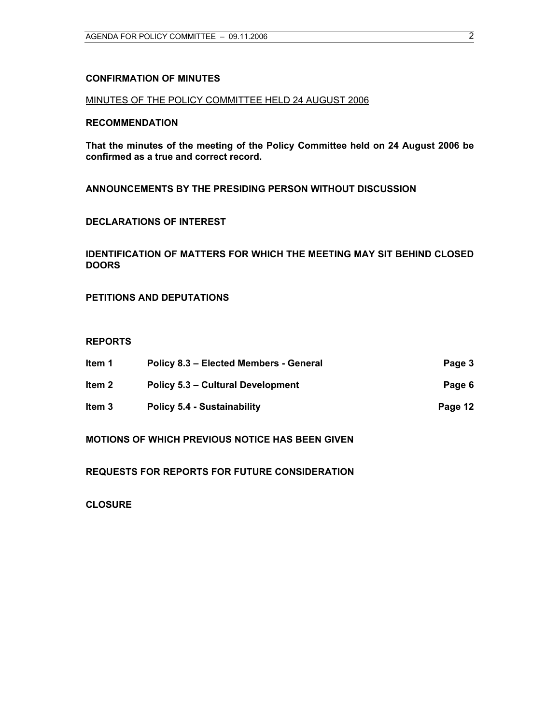#### **CONFIRMATION OF MINUTES**

#### MINUTES OF THE POLICY COMMITTEE HELD 24 AUGUST 2006

#### **RECOMMENDATION**

**That the minutes of the meeting of the Policy Committee held on 24 August 2006 be confirmed as a true and correct record.** 

**ANNOUNCEMENTS BY THE PRESIDING PERSON WITHOUT DISCUSSION** 

#### **DECLARATIONS OF INTEREST**

#### **IDENTIFICATION OF MATTERS FOR WHICH THE MEETING MAY SIT BEHIND CLOSED DOORS**

**PETITIONS AND DEPUTATIONS** 

#### **REPORTS**

| ltem 1 | Policy 8.3 - Elected Members - General | Page 3  |
|--------|----------------------------------------|---------|
| ltem 2 | Policy 5.3 – Cultural Development      | Page 6  |
| ltem 3 | <b>Policy 5.4 - Sustainability</b>     | Page 12 |

**MOTIONS OF WHICH PREVIOUS NOTICE HAS BEEN GIVEN** 

**REQUESTS FOR REPORTS FOR FUTURE CONSIDERATION** 

**CLOSURE**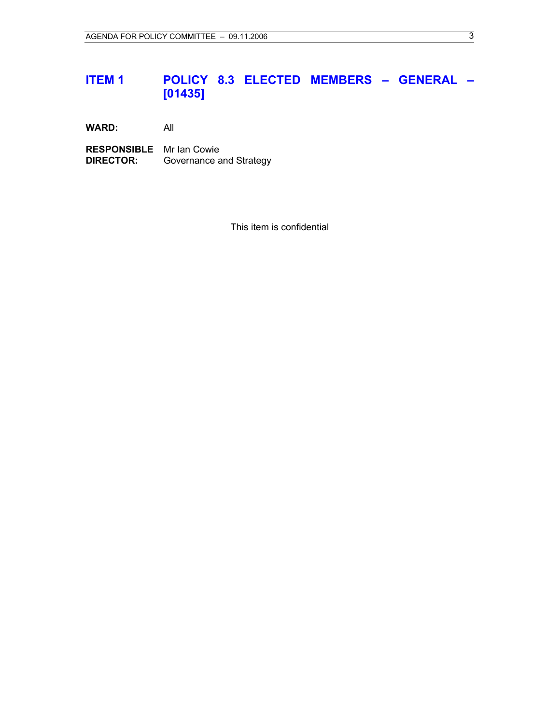## **ITEM 1 POLICY 8.3 ELECTED MEMBERS – GENERAL – [01435]**

**WARD:** All

**RESPONSIBLE** Mr Ian Cowie **DIRECTOR:** Governance and Strategy

This item is confidential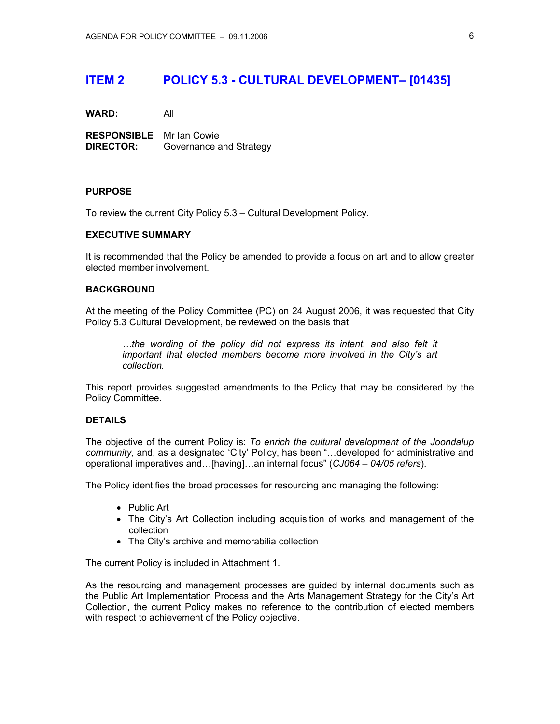## **ITEM 2 POLICY 5.3 - CULTURAL DEVELOPMENT– [01435]**

**WARD:** All

**RESPONSIBLE** Mr Ian Cowie **DIRECTOR:** Governance and Strategy

#### **PURPOSE**

To review the current City Policy 5.3 – Cultural Development Policy.

#### **EXECUTIVE SUMMARY**

It is recommended that the Policy be amended to provide a focus on art and to allow greater elected member involvement.

#### **BACKGROUND**

At the meeting of the Policy Committee (PC) on 24 August 2006, it was requested that City Policy 5.3 Cultural Development, be reviewed on the basis that:

*…the wording of the policy did not express its intent, and also felt it important that elected members become more involved in the City's art collection.* 

This report provides suggested amendments to the Policy that may be considered by the Policy Committee.

#### **DETAILS**

The objective of the current Policy is: *To enrich the cultural development of the Joondalup community,* and, as a designated 'City' Policy, has been "…developed for administrative and operational imperatives and…[having]…an internal focus" (*CJ064 – 04/05 refers*).

The Policy identifies the broad processes for resourcing and managing the following:

- Public Art
- The City's Art Collection including acquisition of works and management of the collection
- The City's archive and memorabilia collection

The current Policy is included in Attachment 1.

As the resourcing and management processes are guided by internal documents such as the Public Art Implementation Process and the Arts Management Strategy for the City's Art Collection, the current Policy makes no reference to the contribution of elected members with respect to achievement of the Policy objective.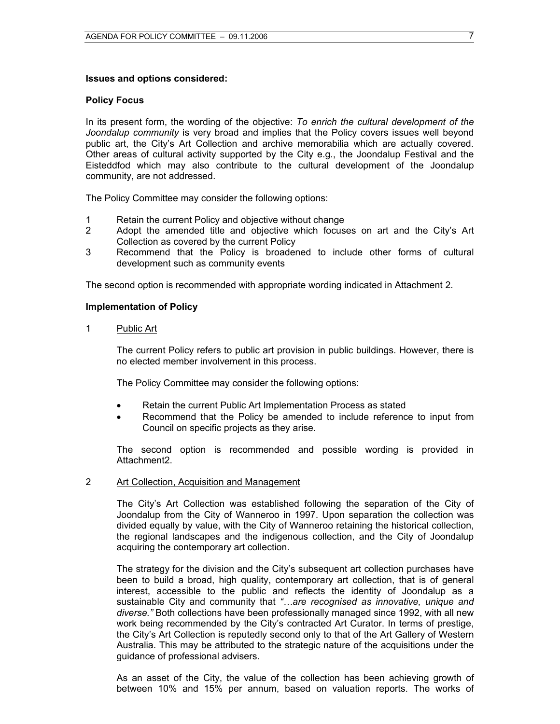#### **Issues and options considered:**

#### **Policy Focus**

In its present form, the wording of the objective: *To enrich the cultural development of the Joondalup community* is very broad and implies that the Policy covers issues well beyond public art, the City's Art Collection and archive memorabilia which are actually covered. Other areas of cultural activity supported by the City e.g., the Joondalup Festival and the Eisteddfod which may also contribute to the cultural development of the Joondalup community, are not addressed.

The Policy Committee may consider the following options:

- 1 Retain the current Policy and objective without change
- 2 Adopt the amended title and objective which focuses on art and the City's Art Collection as covered by the current Policy
- 3 Recommend that the Policy is broadened to include other forms of cultural development such as community events

The second option is recommended with appropriate wording indicated in Attachment 2.

#### **Implementation of Policy**

1 Public Art

The current Policy refers to public art provision in public buildings. However, there is no elected member involvement in this process.

The Policy Committee may consider the following options:

- Retain the current Public Art Implementation Process as stated
- Recommend that the Policy be amended to include reference to input from Council on specific projects as they arise.

The second option is recommended and possible wording is provided in Attachment2.

#### 2 Art Collection, Acquisition and Management

The City's Art Collection was established following the separation of the City of Joondalup from the City of Wanneroo in 1997. Upon separation the collection was divided equally by value, with the City of Wanneroo retaining the historical collection, the regional landscapes and the indigenous collection, and the City of Joondalup acquiring the contemporary art collection.

The strategy for the division and the City's subsequent art collection purchases have been to build a broad, high quality, contemporary art collection, that is of general interest, accessible to the public and reflects the identity of Joondalup as a sustainable City and community that *"…are recognised as innovative, unique and diverse."* Both collections have been professionally managed since 1992, with all new work being recommended by the City's contracted Art Curator. In terms of prestige, the City's Art Collection is reputedly second only to that of the Art Gallery of Western Australia. This may be attributed to the strategic nature of the acquisitions under the guidance of professional advisers.

As an asset of the City, the value of the collection has been achieving growth of between 10% and 15% per annum, based on valuation reports. The works of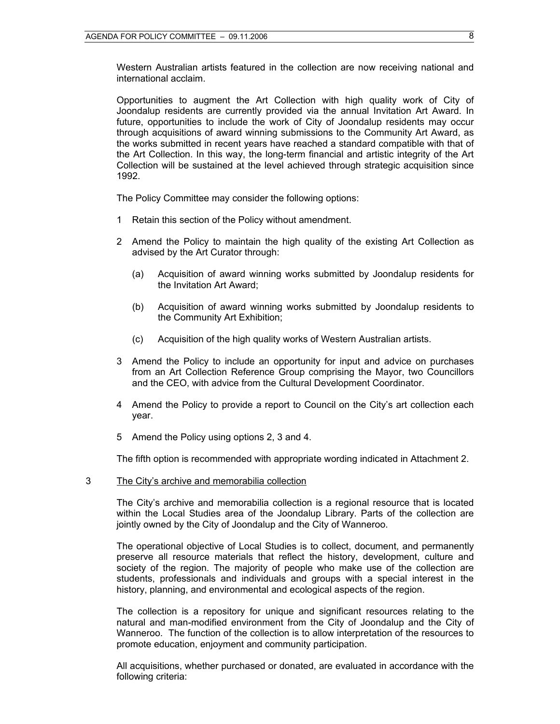Western Australian artists featured in the collection are now receiving national and international acclaim.

Opportunities to augment the Art Collection with high quality work of City of Joondalup residents are currently provided via the annual Invitation Art Award. In future, opportunities to include the work of City of Joondalup residents may occur through acquisitions of award winning submissions to the Community Art Award, as the works submitted in recent years have reached a standard compatible with that of the Art Collection. In this way, the long-term financial and artistic integrity of the Art Collection will be sustained at the level achieved through strategic acquisition since 1992.

The Policy Committee may consider the following options:

- 1 Retain this section of the Policy without amendment.
- 2 Amend the Policy to maintain the high quality of the existing Art Collection as advised by the Art Curator through:
	- (a) Acquisition of award winning works submitted by Joondalup residents for the Invitation Art Award;
	- (b) Acquisition of award winning works submitted by Joondalup residents to the Community Art Exhibition;
	- (c) Acquisition of the high quality works of Western Australian artists.
- 3 Amend the Policy to include an opportunity for input and advice on purchases from an Art Collection Reference Group comprising the Mayor, two Councillors and the CEO, with advice from the Cultural Development Coordinator.
- 4 Amend the Policy to provide a report to Council on the City's art collection each year.
- 5 Amend the Policy using options 2, 3 and 4.

The fifth option is recommended with appropriate wording indicated in Attachment 2.

3 The City's archive and memorabilia collection

The City's archive and memorabilia collection is a regional resource that is located within the Local Studies area of the Joondalup Library. Parts of the collection are jointly owned by the City of Joondalup and the City of Wanneroo.

The operational objective of Local Studies is to collect, document, and permanently preserve all resource materials that reflect the history, development, culture and society of the region. The majority of people who make use of the collection are students, professionals and individuals and groups with a special interest in the history, planning, and environmental and ecological aspects of the region.

The collection is a repository for unique and significant resources relating to the natural and man-modified environment from the City of Joondalup and the City of Wanneroo. The function of the collection is to allow interpretation of the resources to promote education, enjoyment and community participation.

All acquisitions, whether purchased or donated, are evaluated in accordance with the following criteria: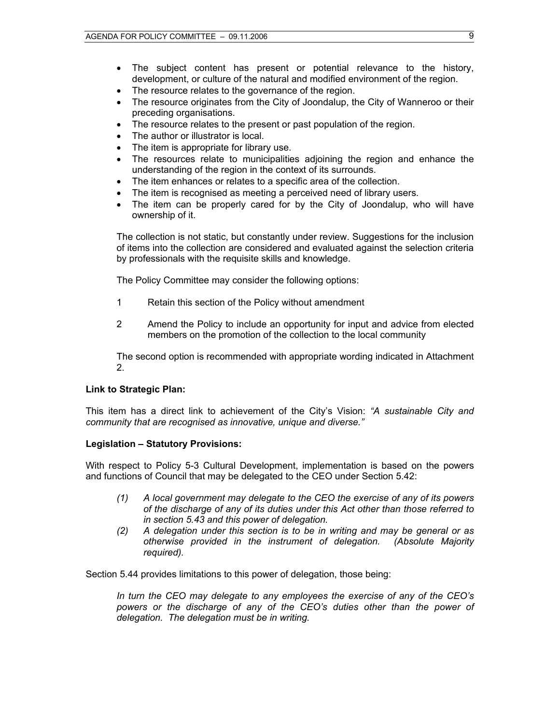- The subject content has present or potential relevance to the history, development, or culture of the natural and modified environment of the region.
- The resource relates to the governance of the region.
- The resource originates from the City of Joondalup, the City of Wanneroo or their preceding organisations.
- The resource relates to the present or past population of the region.
- The author or illustrator is local.
- The item is appropriate for library use.
- The resources relate to municipalities adjoining the region and enhance the understanding of the region in the context of its surrounds.
- The item enhances or relates to a specific area of the collection.
- The item is recognised as meeting a perceived need of library users.
- The item can be properly cared for by the City of Joondalup, who will have ownership of it.

The collection is not static, but constantly under review. Suggestions for the inclusion of items into the collection are considered and evaluated against the selection criteria by professionals with the requisite skills and knowledge.

The Policy Committee may consider the following options:

- 1 Retain this section of the Policy without amendment
- 2 Amend the Policy to include an opportunity for input and advice from elected members on the promotion of the collection to the local community

The second option is recommended with appropriate wording indicated in Attachment 2.

#### **Link to Strategic Plan:**

This item has a direct link to achievement of the City's Vision: *"A sustainable City and community that are recognised as innovative, unique and diverse."* 

#### **Legislation – Statutory Provisions:**

With respect to Policy 5-3 Cultural Development, implementation is based on the powers and functions of Council that may be delegated to the CEO under Section 5.42:

- *(1) A local government may delegate to the CEO the exercise of any of its powers of the discharge of any of its duties under this Act other than those referred to in section 5.43 and this power of delegation.*
- *(2) A delegation under this section is to be in writing and may be general or as otherwise provided in the instrument of delegation. (Absolute Majority required).*

Section 5.44 provides limitations to this power of delegation, those being:

*In turn the CEO may delegate to any employees the exercise of any of the CEO's powers or the discharge of any of the CEO's duties other than the power of delegation. The delegation must be in writing.*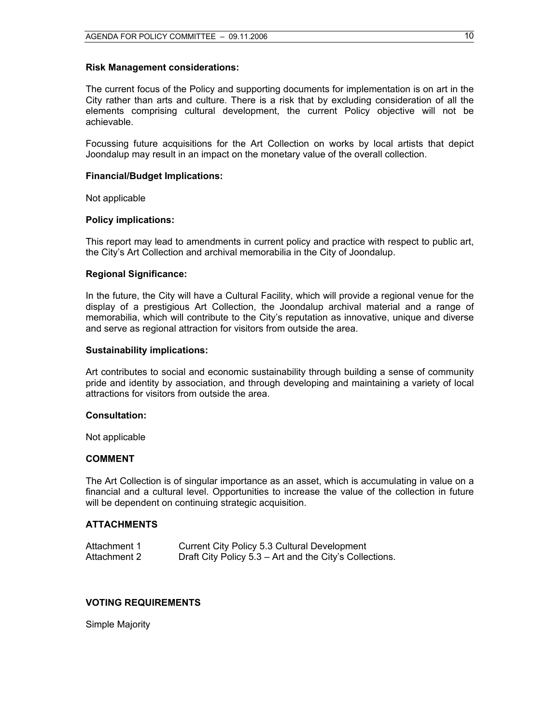#### **Risk Management considerations:**

The current focus of the Policy and supporting documents for implementation is on art in the City rather than arts and culture. There is a risk that by excluding consideration of all the elements comprising cultural development, the current Policy objective will not be achievable.

Focussing future acquisitions for the Art Collection on works by local artists that depict Joondalup may result in an impact on the monetary value of the overall collection.

#### **Financial/Budget Implications:**

Not applicable

#### **Policy implications:**

This report may lead to amendments in current policy and practice with respect to public art, the City's Art Collection and archival memorabilia in the City of Joondalup.

#### **Regional Significance:**

In the future, the City will have a Cultural Facility, which will provide a regional venue for the display of a prestigious Art Collection, the Joondalup archival material and a range of memorabilia, which will contribute to the City's reputation as innovative, unique and diverse and serve as regional attraction for visitors from outside the area.

#### **Sustainability implications:**

Art contributes to social and economic sustainability through building a sense of community pride and identity by association, and through developing and maintaining a variety of local attractions for visitors from outside the area.

#### **Consultation:**

Not applicable

#### **COMMENT**

The Art Collection is of singular importance as an asset, which is accumulating in value on a financial and a cultural level. Opportunities to increase the value of the collection in future will be dependent on continuing strategic acquisition.

#### **ATTACHMENTS**

| Attachment 1 | Current City Policy 5.3 Cultural Development            |
|--------------|---------------------------------------------------------|
| Attachment 2 | Draft City Policy 5.3 – Art and the City's Collections. |

#### **VOTING REQUIREMENTS**

Simple Majority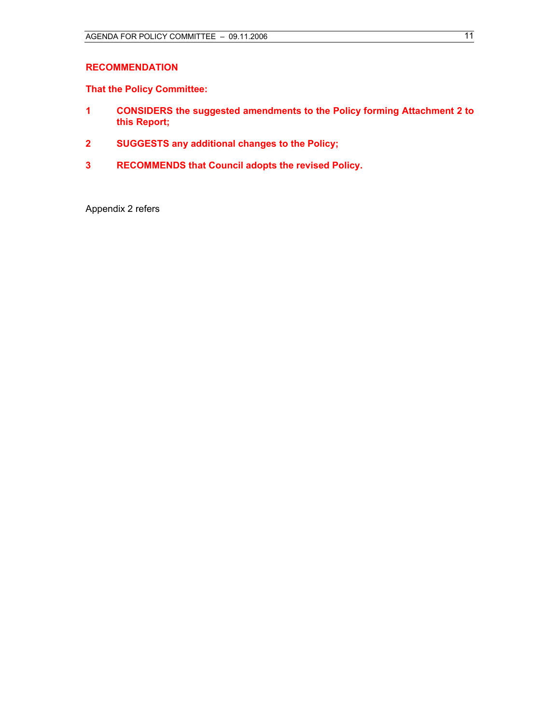#### **RECOMMENDATION**

**That the Policy Committee:** 

- **1 CONSIDERS the suggested amendments to the Policy forming Attachment 2 to this Report;**
- **2 SUGGESTS any additional changes to the Policy;**
- **3 RECOMMENDS that Council adopts the revised Policy.**

Appendix 2 refers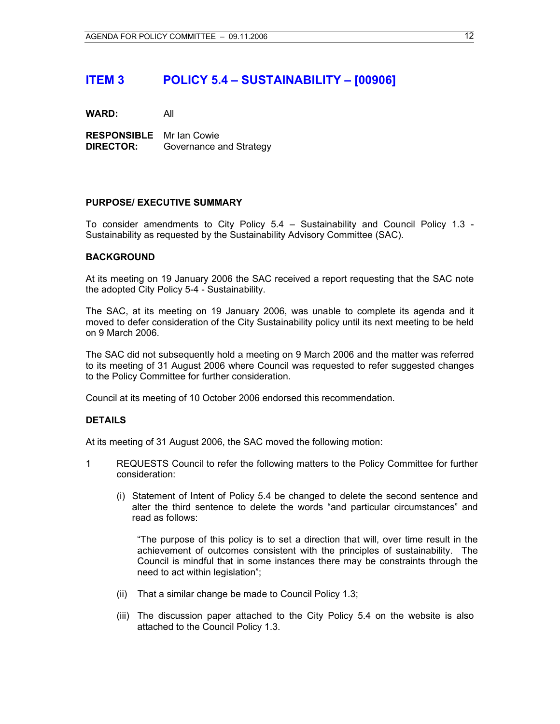## **ITEM 3 POLICY 5.4 – SUSTAINABILITY – [00906]**

**WARD:** All

**RESPONSIBLE** Mr Ian Cowie **DIRECTOR:** Governance and Strategy

#### **PURPOSE/ EXECUTIVE SUMMARY**

To consider amendments to City Policy 5.4 – Sustainability and Council Policy 1.3 - Sustainability as requested by the Sustainability Advisory Committee (SAC).

#### **BACKGROUND**

At its meeting on 19 January 2006 the SAC received a report requesting that the SAC note the adopted City Policy 5-4 - Sustainability.

The SAC, at its meeting on 19 January 2006, was unable to complete its agenda and it moved to defer consideration of the City Sustainability policy until its next meeting to be held on 9 March 2006.

The SAC did not subsequently hold a meeting on 9 March 2006 and the matter was referred to its meeting of 31 August 2006 where Council was requested to refer suggested changes to the Policy Committee for further consideration.

Council at its meeting of 10 October 2006 endorsed this recommendation.

#### **DETAILS**

At its meeting of 31 August 2006, the SAC moved the following motion:

- 1 REQUESTS Council to refer the following matters to the Policy Committee for further consideration:
	- (i) Statement of Intent of Policy 5.4 be changed to delete the second sentence and alter the third sentence to delete the words "and particular circumstances" and read as follows:

"The purpose of this policy is to set a direction that will, over time result in the achievement of outcomes consistent with the principles of sustainability. The Council is mindful that in some instances there may be constraints through the need to act within legislation";

- (ii) That a similar change be made to Council Policy 1.3;
- (iii) The discussion paper attached to the City Policy 5.4 on the website is also attached to the Council Policy 1.3.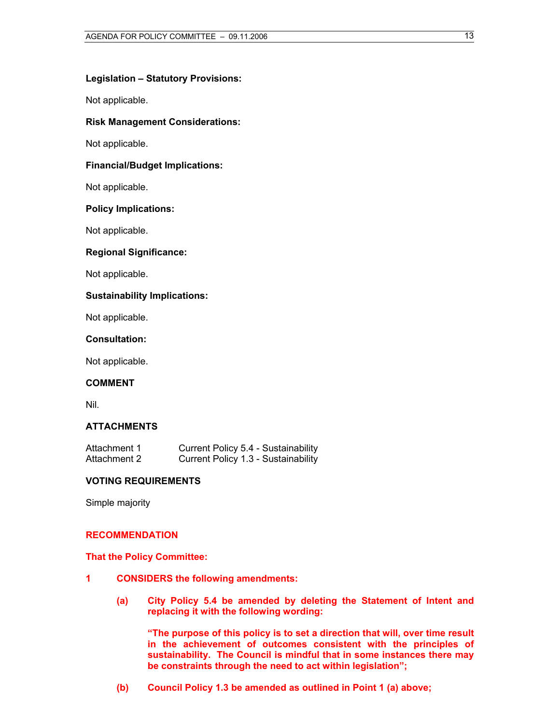#### **Legislation – Statutory Provisions:**

Not applicable.

#### **Risk Management Considerations:**

Not applicable.

#### **Financial/Budget Implications:**

Not applicable.

#### **Policy Implications:**

Not applicable.

#### **Regional Significance:**

Not applicable.

#### **Sustainability Implications:**

Not applicable.

#### **Consultation:**

Not applicable.

#### **COMMENT**

Nil.

#### **ATTACHMENTS**

| Attachment 1 | Current Policy 5.4 - Sustainability |
|--------------|-------------------------------------|
| Attachment 2 | Current Policy 1.3 - Sustainability |

#### **VOTING REQUIREMENTS**

Simple majority

#### **RECOMMENDATION**

**That the Policy Committee:** 

- **1 CONSIDERS the following amendments:** 
	- **(a) City Policy 5.4 be amended by deleting the Statement of Intent and replacing it with the following wording:**

**"The purpose of this policy is to set a direction that will, over time result in the achievement of outcomes consistent with the principles of sustainability. The Council is mindful that in some instances there may be constraints through the need to act within legislation";** 

**(b) Council Policy 1.3 be amended as outlined in Point 1 (a) above;**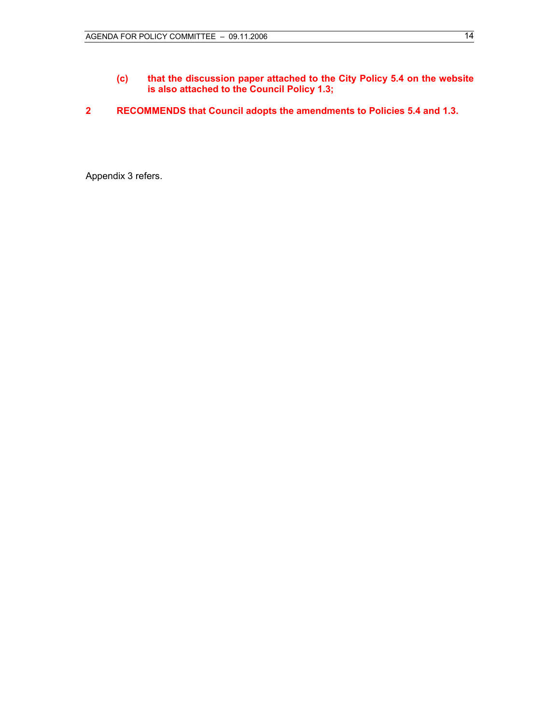- **(c) that the discussion paper attached to the City Policy 5.4 on the website is also attached to the Council Policy 1.3;**
- **2 RECOMMENDS that Council adopts the amendments to Policies 5.4 and 1.3.**

Appendix 3 refers.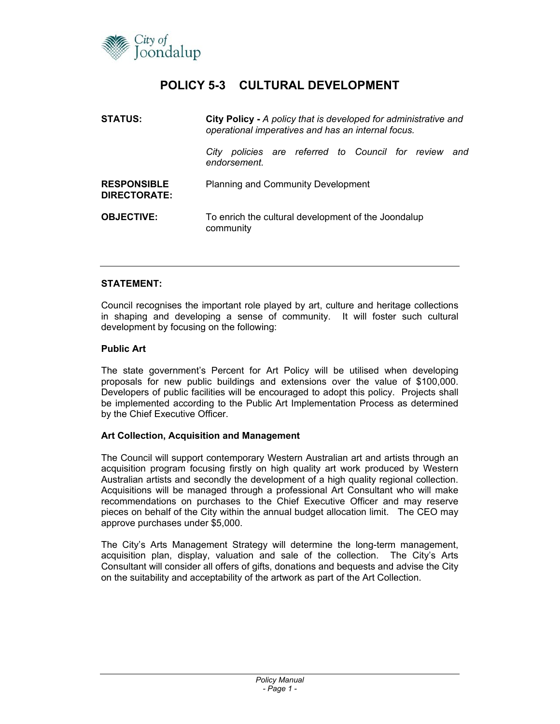

## **POLICY 5-3 CULTURAL DEVELOPMENT**

| <b>STATUS:</b>                            | <b>City Policy - A policy that is developed for administrative and</b><br>operational imperatives and has an internal focus. |  |
|-------------------------------------------|------------------------------------------------------------------------------------------------------------------------------|--|
|                                           | policies are referred to Council for review<br>City<br>and<br>endorsement.                                                   |  |
| <b>RESPONSIBLE</b><br><b>DIRECTORATE:</b> | <b>Planning and Community Development</b>                                                                                    |  |
| <b>OBJECTIVE:</b>                         | To enrich the cultural development of the Joondalup<br>community                                                             |  |

#### **STATEMENT:**

Council recognises the important role played by art, culture and heritage collections in shaping and developing a sense of community. It will foster such cultural development by focusing on the following:

#### **Public Art**

The state government's Percent for Art Policy will be utilised when developing proposals for new public buildings and extensions over the value of \$100,000. Developers of public facilities will be encouraged to adopt this policy. Projects shall be implemented according to the Public Art Implementation Process as determined by the Chief Executive Officer.

#### **Art Collection, Acquisition and Management**

The Council will support contemporary Western Australian art and artists through an acquisition program focusing firstly on high quality art work produced by Western Australian artists and secondly the development of a high quality regional collection. Acquisitions will be managed through a professional Art Consultant who will make recommendations on purchases to the Chief Executive Officer and may reserve pieces on behalf of the City within the annual budget allocation limit. The CEO may approve purchases under \$5,000.

The City's Arts Management Strategy will determine the long-term management, acquisition plan, display, valuation and sale of the collection. The City's Arts Consultant will consider all offers of gifts, donations and bequests and advise the City on the suitability and acceptability of the artwork as part of the Art Collection.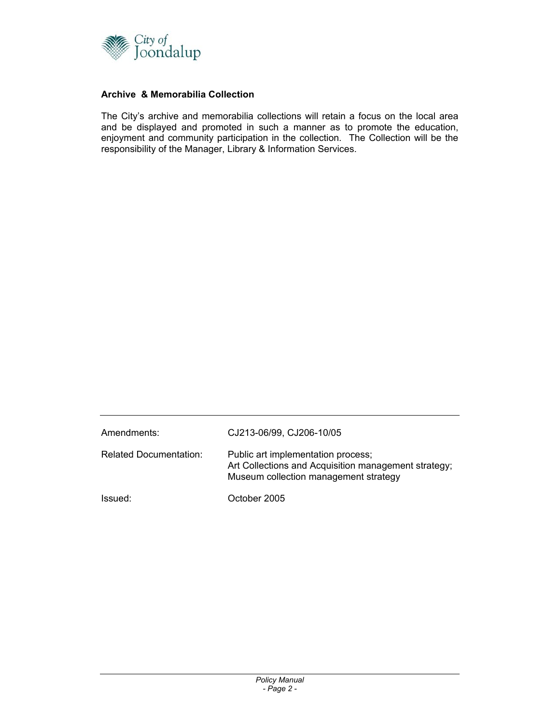

#### **Archive & Memorabilia Collection**

The City's archive and memorabilia collections will retain a focus on the local area and be displayed and promoted in such a manner as to promote the education, enjoyment and community participation in the collection. The Collection will be the responsibility of the Manager, Library & Information Services.

| Amendments:                   | CJ213-06/99, CJ206-10/05                                                                                                            |
|-------------------------------|-------------------------------------------------------------------------------------------------------------------------------------|
| <b>Related Documentation:</b> | Public art implementation process;<br>Art Collections and Acquisition management strategy;<br>Museum collection management strategy |
| Issued:                       | October 2005                                                                                                                        |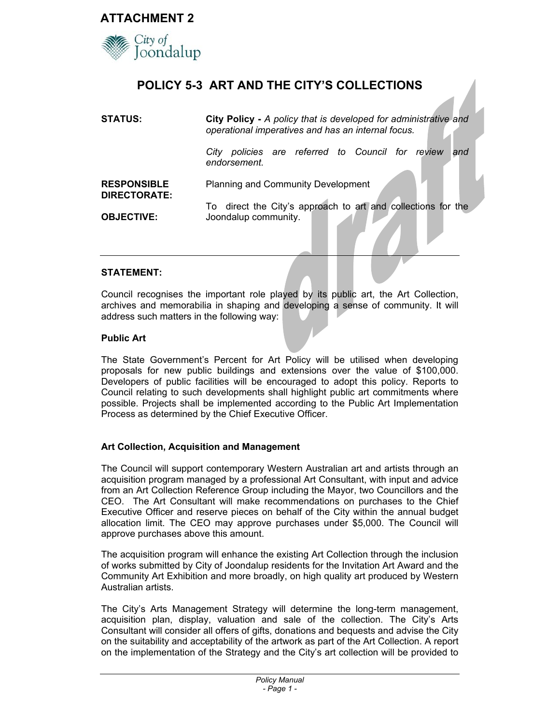

Joondalup

## **POLICY 5-3 ART AND THE CITY'S COLLECTIONS**

| STATUS:                                   | City Policy - A policy that is developed for administrative and<br>operational imperatives and has an internal focus. |  |
|-------------------------------------------|-----------------------------------------------------------------------------------------------------------------------|--|
|                                           | policies are referred to Council for review<br>City<br>and<br>endorsement.                                            |  |
| <b>RESPONSIBLE</b><br><b>DIRECTORATE:</b> | <b>Planning and Community Development</b>                                                                             |  |
| <b>OBJECTIVE:</b>                         | To direct the City's approach to art and collections for the<br>Joondalup community.                                  |  |

#### **STATEMENT:**

Council recognises the important role played by its public art, the Art Collection, archives and memorabilia in shaping and developing a sense of community. It will address such matters in the following way:

#### **Public Art**

The State Government's Percent for Art Policy will be utilised when developing proposals for new public buildings and extensions over the value of \$100,000. Developers of public facilities will be encouraged to adopt this policy. Reports to Council relating to such developments shall highlight public art commitments where possible. Projects shall be implemented according to the Public Art Implementation Process as determined by the Chief Executive Officer.

#### **Art Collection, Acquisition and Management**

The Council will support contemporary Western Australian art and artists through an acquisition program managed by a professional Art Consultant, with input and advice from an Art Collection Reference Group including the Mayor, two Councillors and the CEO. The Art Consultant will make recommendations on purchases to the Chief Executive Officer and reserve pieces on behalf of the City within the annual budget allocation limit. The CEO may approve purchases under \$5,000. The Council will approve purchases above this amount.

The acquisition program will enhance the existing Art Collection through the inclusion of works submitted by City of Joondalup residents for the Invitation Art Award and the Community Art Exhibition and more broadly, on high quality art produced by Western Australian artists.

The City's Arts Management Strategy will determine the long-term management, acquisition plan, display, valuation and sale of the collection. The City's Arts Consultant will consider all offers of gifts, donations and bequests and advise the City on the suitability and acceptability of the artwork as part of the Art Collection. A report on the implementation of the Strategy and the City's art collection will be provided to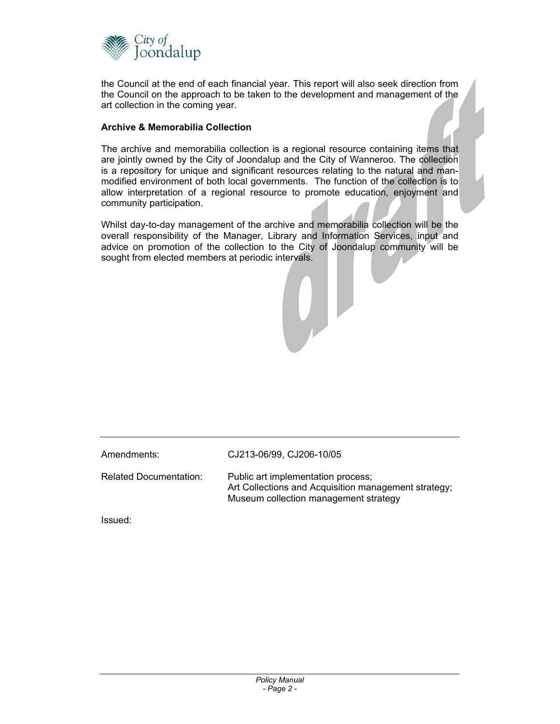

the Council at the end of each financial year. This report will also seek direction from the Council on the approach to be taken to the development and management of the art collection in the coming year.

#### **Archive & Memorabilia Collection**

The archive and memorabilia collection is a regional resource containing items that are jointly owned by the City of Joondalup and the City of Wanneroo. The collection is a repository for unique and significant resources relating to the natural and manmodified environment of both local governments. The function of the collection is to allow interpretation of a regional resource to promote education, enjoyment and community participation.

Whilst day-to-day management of the archive and memorabilia collection will be the overall responsibility of the Manager, Library and Information Services, input and advice on promotion of the collection to the City of Joondalup community will be sought from elected members at periodic intervals.

Amendments: CJ213-06/99, CJ206-10/05

Related Documentation: Public art implementation process; Art Collections and Acquisition management strategy; Museum collection management strategy

Issued: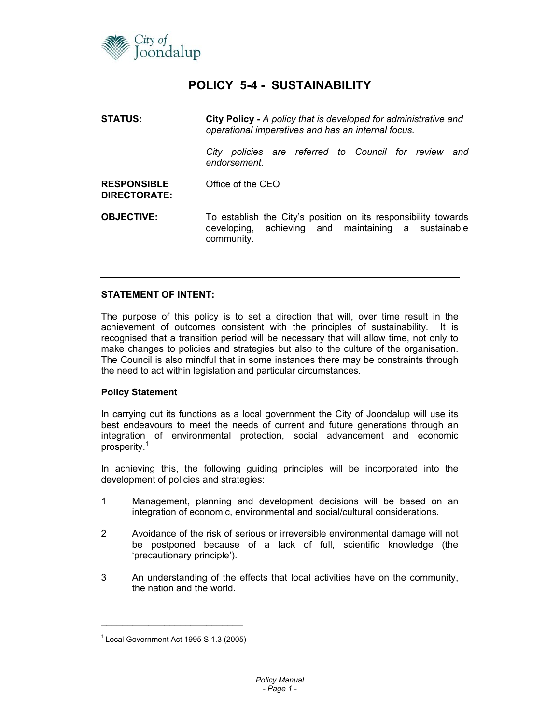

## **POLICY 5-4 - SUSTAINABILITY**

| <b>STATUS:</b>                            | City Policy - A policy that is developed for administrative and<br>operational imperatives and has an internal focus.               |  |
|-------------------------------------------|-------------------------------------------------------------------------------------------------------------------------------------|--|
|                                           | policies are referred to Council for review<br>City<br>and<br>endorsement.                                                          |  |
| <b>RESPONSIBLE</b><br><b>DIRECTORATE:</b> | Office of the CEO                                                                                                                   |  |
| <b>OBJECTIVE:</b>                         | To establish the City's position on its responsibility towards<br>developing, achieving and maintaining a sustainable<br>community. |  |

#### **STATEMENT OF INTENT:**

The purpose of this policy is to set a direction that will, over time result in the achievement of outcomes consistent with the principles of sustainability. It is recognised that a transition period will be necessary that will allow time, not only to make changes to policies and strategies but also to the culture of the organisation. The Council is also mindful that in some instances there may be constraints through the need to act within legislation and particular circumstances.

#### **Policy Statement**

In carrying out its functions as a local government the City of Joondalup will use its best endeavours to meet the needs of current and future generations through an integration of environmental protection, social advancement and economic prosperity.<sup>1</sup>

In achieving this, the following guiding principles will be incorporated into the development of policies and strategies:

- 1 Management, planning and development decisions will be based on an integration of economic, environmental and social/cultural considerations.
- 2 Avoidance of the risk of serious or irreversible environmental damage will not be postponed because of a lack of full, scientific knowledge (the 'precautionary principle').
- 3 An understanding of the effects that local activities have on the community, the nation and the world.

\_\_\_\_\_\_\_\_\_\_\_\_\_\_\_\_\_\_\_\_\_\_\_\_\_\_\_

 $1$  Local Government Act 1995 S 1.3 (2005)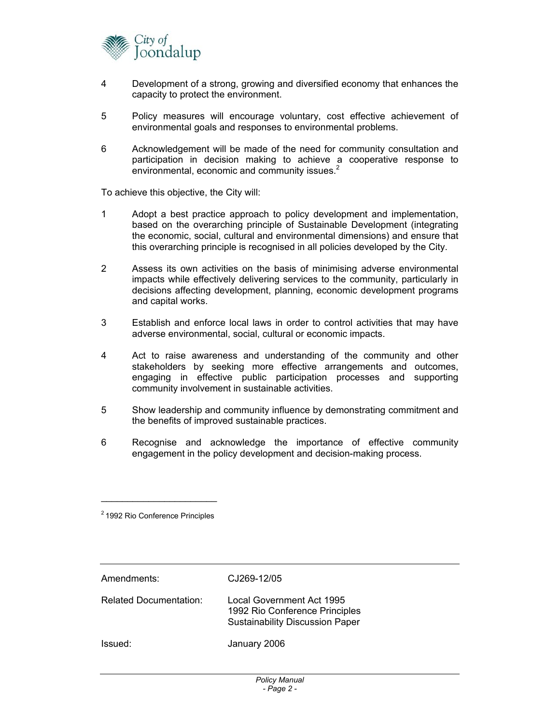

- 4 Development of a strong, growing and diversified economy that enhances the capacity to protect the environment.
- 5 Policy measures will encourage voluntary, cost effective achievement of environmental goals and responses to environmental problems.
- 6 Acknowledgement will be made of the need for community consultation and participation in decision making to achieve a cooperative response to environmental, economic and community issues.<sup>2</sup>

To achieve this objective, the City will:

- 1 Adopt a best practice approach to policy development and implementation, based on the overarching principle of Sustainable Development (integrating the economic, social, cultural and environmental dimensions) and ensure that this overarching principle is recognised in all policies developed by the City.
- 2 Assess its own activities on the basis of minimising adverse environmental impacts while effectively delivering services to the community, particularly in decisions affecting development, planning, economic development programs and capital works.
- 3 Establish and enforce local laws in order to control activities that may have adverse environmental, social, cultural or economic impacts.
- 4 Act to raise awareness and understanding of the community and other stakeholders by seeking more effective arrangements and outcomes, engaging in effective public participation processes and supporting community involvement in sustainable activities.
- 5 Show leadership and community influence by demonstrating commitment and the benefits of improved sustainable practices.
- 6 Recognise and acknowledge the importance of effective community engagement in the policy development and decision-making process.

| Amendments:                   | CJ269-12/05                                                                                           |
|-------------------------------|-------------------------------------------------------------------------------------------------------|
| <b>Related Documentation:</b> | Local Government Act 1995<br>1992 Rio Conference Principles<br><b>Sustainability Discussion Paper</b> |
| Issued:                       | January 2006                                                                                          |

 $\overline{\phantom{a}}$  , which is a set of the set of the set of the set of the set of the set of the set of the set of the set of the set of the set of the set of the set of the set of the set of the set of the set of the set of th 2 1992 Rio Conference Principles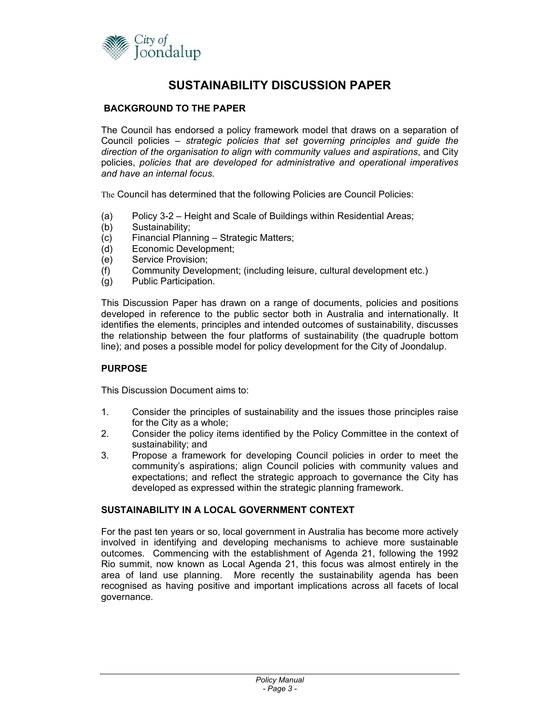

## **SUSTAINABILITY DISCUSSION PAPER**

#### **BACKGROUND TO THE PAPER**

The Council has endorsed a policy framework model that draws on a separation of Council policies – *strategic policies that set governing principles and guide the direction of the organisation to align with community values and aspirations*, and City policies, *policies that are developed for administrative and operational imperatives and have an internal focus.*

The Council has determined that the following Policies are Council Policies:

- (a) Policy 3-2 Height and Scale of Buildings within Residential Areas;
- (b) Sustainability;
- (c) Financial Planning Strategic Matters;
- (d) Economic Development;
- (e) Service Provision;
- (f) Community Development; (including leisure, cultural development etc.)
- (g) Public Participation.

This Discussion Paper has drawn on a range of documents, policies and positions developed in reference to the public sector both in Australia and internationally. It identifies the elements, principles and intended outcomes of sustainability, discusses the relationship between the four platforms of sustainability (the quadruple bottom line); and poses a possible model for policy development for the City of Joondalup.

#### **PURPOSE**

This Discussion Document aims to:

- 1. Consider the principles of sustainability and the issues those principles raise for the City as a whole;
- 2. Consider the policy items identified by the Policy Committee in the context of sustainability; and
- 3. Propose a framework for developing Council policies in order to meet the community's aspirations; align Council policies with community values and expectations; and reflect the strategic approach to governance the City has developed as expressed within the strategic planning framework.

#### **SUSTAINABILITY IN A LOCAL GOVERNMENT CONTEXT**

For the past ten years or so, local government in Australia has become more actively involved in identifying and developing mechanisms to achieve more sustainable outcomes. Commencing with the establishment of Agenda 21, following the 1992 Rio summit, now known as Local Agenda 21, this focus was almost entirely in the area of land use planning. More recently the sustainability agenda has been recognised as having positive and important implications across all facets of local governance.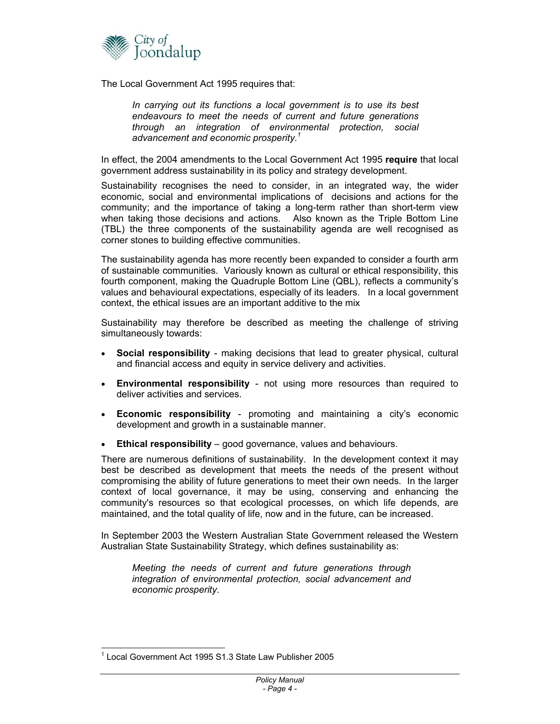

The Local Government Act 1995 requires that:

*In carrying out its functions a local government is to use its best endeavours to meet the needs of current and future generations through an integration of environmental protection, social advancement and economic prosperity.<sup>1</sup>*

In effect, the 2004 amendments to the Local Government Act 1995 **require** that local government address sustainability in its policy and strategy development.

Sustainability recognises the need to consider, in an integrated way, the wider economic, social and environmental implications of decisions and actions for the community; and the importance of taking a long-term rather than short-term view when taking those decisions and actions. Also known as the Triple Bottom Line (TBL) the three components of the sustainability agenda are well recognised as corner stones to building effective communities.

The sustainability agenda has more recently been expanded to consider a fourth arm of sustainable communities. Variously known as cultural or ethical responsibility, this fourth component, making the Quadruple Bottom Line (QBL), reflects a community's values and behavioural expectations, especially of its leaders. In a local government context, the ethical issues are an important additive to the mix

Sustainability may therefore be described as meeting the challenge of striving simultaneously towards:

- **Social responsibility** making decisions that lead to greater physical, cultural and financial access and equity in service delivery and activities.
- **Environmental responsibility**  not using more resources than required to deliver activities and services.
- **Economic responsibility** promoting and maintaining a city's economic development and growth in a sustainable manner.
- **Ethical responsibility** good governance, values and behaviours.

There are numerous definitions of sustainability. In the development context it may best be described as development that meets the needs of the present without compromising the ability of future generations to meet their own needs. In the larger context of local governance, it may be using, conserving and enhancing the community's resources so that ecological processes, on which life depends, are maintained, and the total quality of life, now and in the future, can be increased.

In September 2003 the Western Australian State Government released the Western Australian State Sustainability Strategy, which defines sustainability as:

*Meeting the needs of current and future generations through integration of environmental protection, social advancement and economic prosperity*.

l <sup>1</sup> Local Government Act 1995 S1.3 State Law Publisher 2005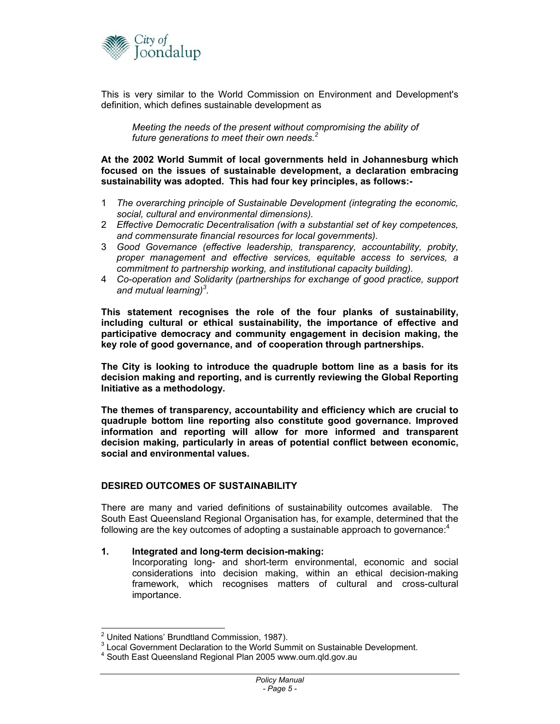

This is very similar to the World Commission on Environment and Development's definition, which defines sustainable development as

*Meeting the needs of the present without compromising the ability of future generations to meet their own needs.<sup>2</sup>*

**At the 2002 World Summit of local governments held in Johannesburg which focused on the issues of sustainable development, a declaration embracing sustainability was adopted. This had four key principles, as follows:-** 

- 1 *The overarching principle of Sustainable Development (integrating the economic, social, cultural and environmental dimensions).*
- 2 *Effective Democratic Decentralisation (with a substantial set of key competences, and commensurate financial resources for local governments).*
- 3 *Good Governance (effective leadership, transparency, accountability, probity, proper management and effective services, equitable access to services, a commitment to partnership working, and institutional capacity building).*
- 4 *Co-operation and Solidarity (partnerships for exchange of good practice, support and mutual learning)<sup>3</sup> .*

**This statement recognises the role of the four planks of sustainability, including cultural or ethical sustainability, the importance of effective and participative democracy and community engagement in decision making, the key role of good governance, and of cooperation through partnerships.** 

**The City is looking to introduce the quadruple bottom line as a basis for its decision making and reporting, and is currently reviewing the Global Reporting Initiative as a methodology.** 

**The themes of transparency, accountability and efficiency which are crucial to quadruple bottom line reporting also constitute good governance. Improved information and reporting will allow for more informed and transparent decision making, particularly in areas of potential conflict between economic, social and environmental values.** 

#### **DESIRED OUTCOMES OF SUSTAINABILITY**

There are many and varied definitions of sustainability outcomes available. The South East Queensland Regional Organisation has, for example, determined that the following are the key outcomes of adopting a sustainable approach to governance: $4$ 

#### **1. Integrated and long-term decision-making:**

Incorporating long- and short-term environmental, economic and social considerations into decision making, within an ethical decision-making framework, which recognises matters of cultural and cross-cultural importance.

 2 United Nations' Brundtland Commission, 1987).

<sup>&</sup>lt;sup>3</sup> Local Government Declaration to the World Summit on Sustainable Development.

<sup>&</sup>lt;sup>4</sup> South East Queensland Regional Plan 2005 www.oum.qld.gov.au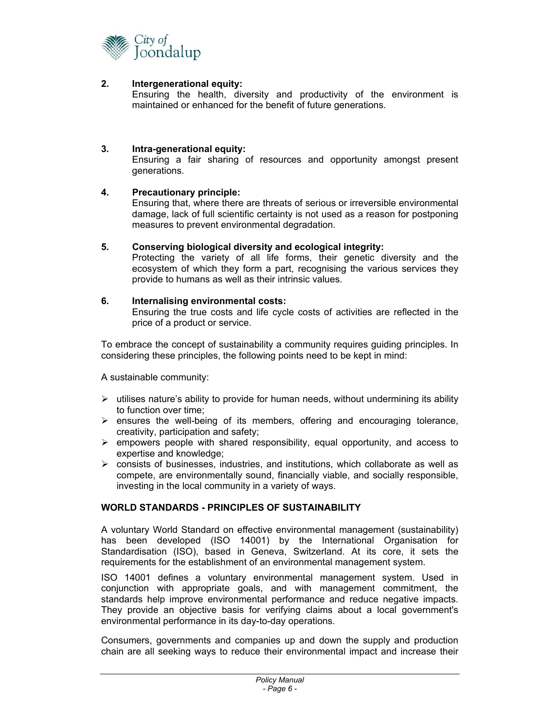

#### **2. Intergenerational equity:**

Ensuring the health, diversity and productivity of the environment is maintained or enhanced for the benefit of future generations.

#### **3. Intra-generational equity:**

Ensuring a fair sharing of resources and opportunity amongst present generations.

#### **4. Precautionary principle:**

Ensuring that, where there are threats of serious or irreversible environmental damage, lack of full scientific certainty is not used as a reason for postponing measures to prevent environmental degradation.

#### **5. Conserving biological diversity and ecological integrity:**

Protecting the variety of all life forms, their genetic diversity and the ecosystem of which they form a part, recognising the various services they provide to humans as well as their intrinsic values.

#### **6. Internalising environmental costs:**

Ensuring the true costs and life cycle costs of activities are reflected in the price of a product or service.

To embrace the concept of sustainability a community requires guiding principles. In considering these principles, the following points need to be kept in mind:

A sustainable community:

- $\triangleright$  utilises nature's ability to provide for human needs, without undermining its ability to function over time;
- $\triangleright$  ensures the well-being of its members, offering and encouraging tolerance, creativity, participation and safety;
- $\triangleright$  empowers people with shared responsibility, equal opportunity, and access to expertise and knowledge;
- $\triangleright$  consists of businesses, industries, and institutions, which collaborate as well as compete, are environmentally sound, financially viable, and socially responsible, investing in the local community in a variety of ways.

#### **WORLD STANDARDS - PRINCIPLES OF SUSTAINABILITY**

A voluntary World Standard on effective environmental management (sustainability) has been developed (ISO 14001) by the International Organisation for Standardisation (ISO), based in Geneva, Switzerland. At its core, it sets the requirements for the establishment of an environmental management system.

ISO 14001 defines a voluntary environmental management system. Used in conjunction with appropriate goals, and with management commitment, the standards help improve environmental performance and reduce negative impacts. They provide an objective basis for verifying claims about a local government's environmental performance in its day-to-day operations.

Consumers, governments and companies up and down the supply and production chain are all seeking ways to reduce their environmental impact and increase their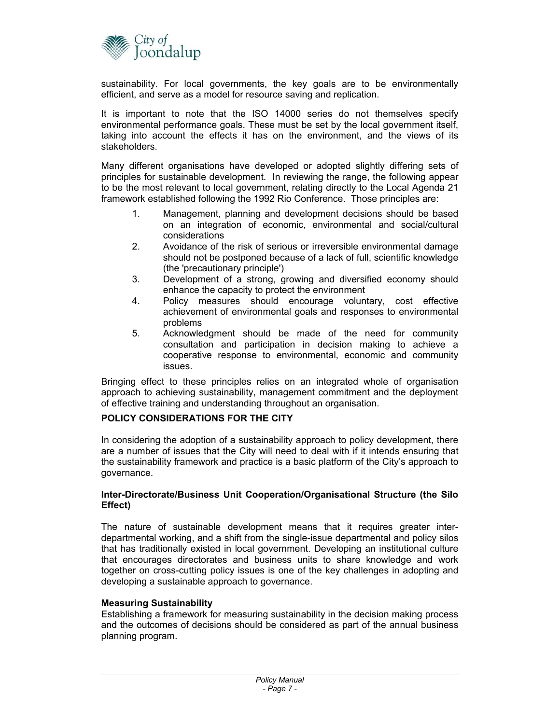

sustainability. For local governments, the key goals are to be environmentally efficient, and serve as a model for resource saving and replication.

It is important to note that the ISO 14000 series do not themselves specify environmental performance goals. These must be set by the local government itself, taking into account the effects it has on the environment, and the views of its stakeholders.

Many different organisations have developed or adopted slightly differing sets of principles for sustainable development. In reviewing the range, the following appear to be the most relevant to local government, relating directly to the Local Agenda 21 framework established following the 1992 Rio Conference. Those principles are:

- 1. Management, planning and development decisions should be based on an integration of economic, environmental and social/cultural considerations
- 2. Avoidance of the risk of serious or irreversible environmental damage should not be postponed because of a lack of full, scientific knowledge (the 'precautionary principle')
- 3. Development of a strong, growing and diversified economy should enhance the capacity to protect the environment
- 4. Policy measures should encourage voluntary, cost effective achievement of environmental goals and responses to environmental problems
- 5. Acknowledgment should be made of the need for community consultation and participation in decision making to achieve a cooperative response to environmental, economic and community issues.

Bringing effect to these principles relies on an integrated whole of organisation approach to achieving sustainability, management commitment and the deployment of effective training and understanding throughout an organisation.

#### **POLICY CONSIDERATIONS FOR THE CITY**

In considering the adoption of a sustainability approach to policy development, there are a number of issues that the City will need to deal with if it intends ensuring that the sustainability framework and practice is a basic platform of the City's approach to governance.

#### **Inter-Directorate/Business Unit Cooperation/Organisational Structure (the Silo Effect)**

The nature of sustainable development means that it requires greater interdepartmental working, and a shift from the single-issue departmental and policy silos that has traditionally existed in local government. Developing an institutional culture that encourages directorates and business units to share knowledge and work together on cross-cutting policy issues is one of the key challenges in adopting and developing a sustainable approach to governance.

#### **Measuring Sustainability**

Establishing a framework for measuring sustainability in the decision making process and the outcomes of decisions should be considered as part of the annual business planning program.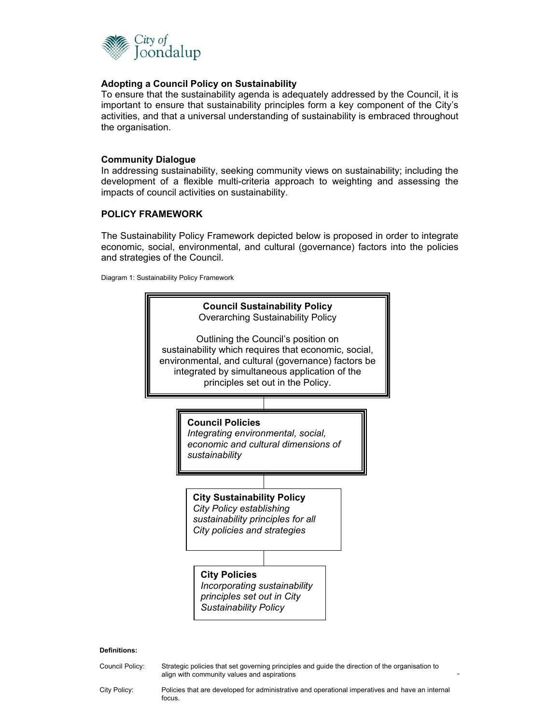

#### **Adopting a Council Policy on Sustainability**

To ensure that the sustainability agenda is adequately addressed by the Council, it is important to ensure that sustainability principles form a key component of the City's activities, and that a universal understanding of sustainability is embraced throughout the organisation.

#### **Community Dialogue**

In addressing sustainability, seeking community views on sustainability; including the development of a flexible multi-criteria approach to weighting and assessing the impacts of council activities on sustainability.

#### **POLICY FRAMEWORK**

The Sustainability Policy Framework depicted below is proposed in order to integrate economic, social, environmental, and cultural (governance) factors into the policies and strategies of the Council.

Diagram 1: Sustainability Policy Framework



#### **Definitions:**

*Policy Manual*  align with community values and aspirations Council Policy: Strategic policies that set governing principles and guide the direction of the organisation to

City Policy: Policies that are developed for administrative and operational imperatives and have an internal focus.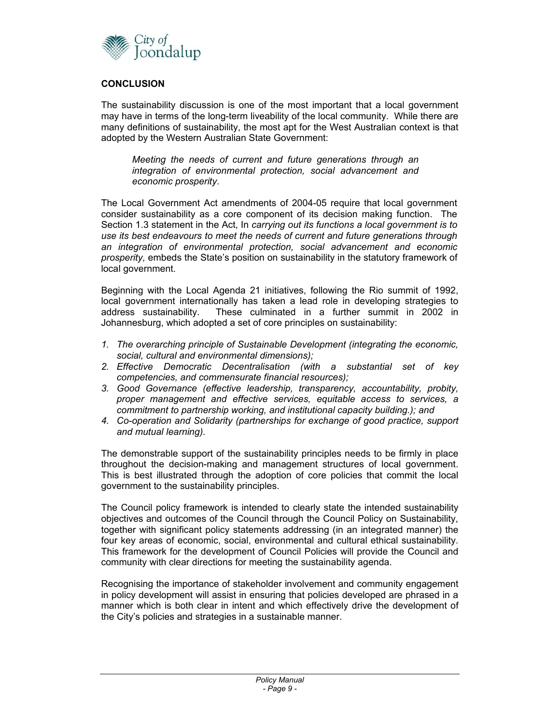

#### **CONCLUSION**

The sustainability discussion is one of the most important that a local government may have in terms of the long-term liveability of the local community. While there are many definitions of sustainability, the most apt for the West Australian context is that adopted by the Western Australian State Government:

*Meeting the needs of current and future generations through an integration of environmental protection, social advancement and economic prosperity*.

The Local Government Act amendments of 2004-05 require that local government consider sustainability as a core component of its decision making function. The Section 1.3 statement in the Act, In *carrying out its functions a local government is to use its best endeavours to meet the needs of current and future generations through an integration of environmental protection, social advancement and economic prosperity,* embeds the State's position on sustainability in the statutory framework of local government.

Beginning with the Local Agenda 21 initiatives, following the Rio summit of 1992, local government internationally has taken a lead role in developing strategies to address sustainability. These culminated in a further summit in 2002 in Johannesburg, which adopted a set of core principles on sustainability:

- *1. The overarching principle of Sustainable Development (integrating the economic, social, cultural and environmental dimensions);*
- *2. Effective Democratic Decentralisation (with a substantial set of key competencies, and commensurate financial resources);*
- *3. Good Governance (effective leadership, transparency, accountability, probity, proper management and effective services, equitable access to services, a commitment to partnership working, and institutional capacity building.); and*
- *4. Co-operation and Solidarity (partnerships for exchange of good practice, support and mutual learning).*

The demonstrable support of the sustainability principles needs to be firmly in place throughout the decision-making and management structures of local government. This is best illustrated through the adoption of core policies that commit the local government to the sustainability principles.

The Council policy framework is intended to clearly state the intended sustainability objectives and outcomes of the Council through the Council Policy on Sustainability, together with significant policy statements addressing (in an integrated manner) the four key areas of economic, social, environmental and cultural ethical sustainability. This framework for the development of Council Policies will provide the Council and community with clear directions for meeting the sustainability agenda.

Recognising the importance of stakeholder involvement and community engagement in policy development will assist in ensuring that policies developed are phrased in a manner which is both clear in intent and which effectively drive the development of the City's policies and strategies in a sustainable manner.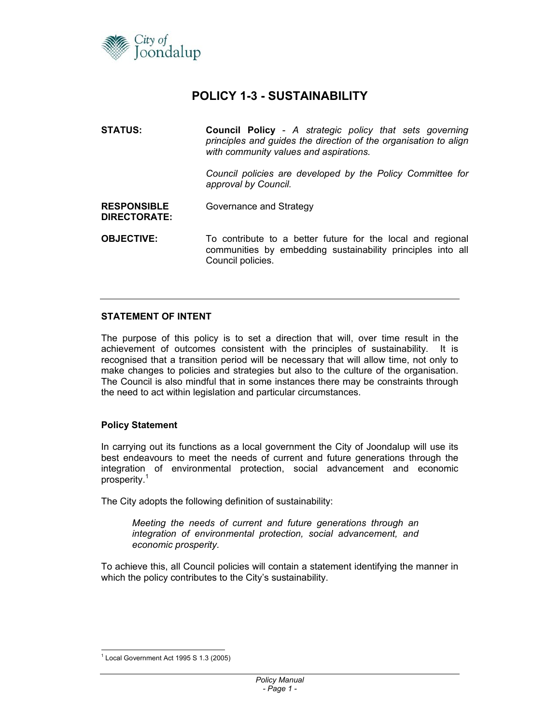

### **POLICY 1-3 - SUSTAINABILITY**

**STATUS: Council Policy** - *A strategic policy that sets governing principles and guides the direction of the organisation to align with community values and aspirations. Council policies are developed by the Policy Committee for approval by Council.*  **RESPONSIBLE DIRECTORATE:**  Governance and Strategy **OBJECTIVE:** To contribute to a better future for the local and regional communities by embedding sustainability principles into all Council policies.

#### **STATEMENT OF INTENT**

The purpose of this policy is to set a direction that will, over time result in the achievement of outcomes consistent with the principles of sustainability. It is recognised that a transition period will be necessary that will allow time, not only to make changes to policies and strategies but also to the culture of the organisation. The Council is also mindful that in some instances there may be constraints through the need to act within legislation and particular circumstances.

#### **Policy Statement**

In carrying out its functions as a local government the City of Joondalup will use its best endeavours to meet the needs of current and future generations through the integration of environmental protection, social advancement and economic prosperity.<sup>1</sup>

The City adopts the following definition of sustainability:

*Meeting the needs of current and future generations through an integration of environmental protection, social advancement, and economic prosperity.*

To achieve this, all Council policies will contain a statement identifying the manner in which the policy contributes to the City's sustainability.

l  $1$  Local Government Act 1995 S 1.3 (2005)